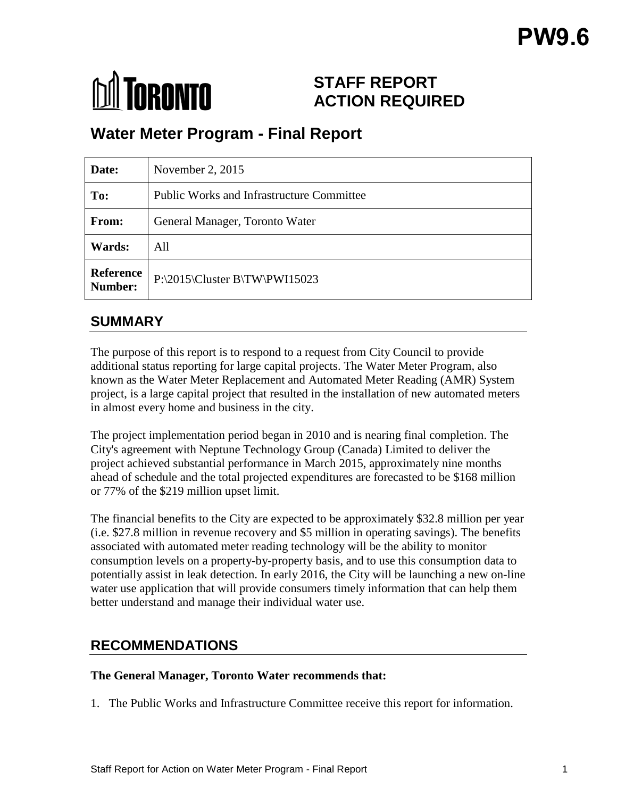# **M** TORONTO

# **STAFF REPORT ACTION REQUIRED**

# **Water Meter Program - Final Report**

| Date:                       | November 2, 2015                                 |
|-----------------------------|--------------------------------------------------|
| To:                         | <b>Public Works and Infrastructure Committee</b> |
| From:                       | General Manager, Toronto Water                   |
| Wards:                      | All                                              |
| <b>Reference</b><br>Number: | $P:\2015\Cluster B\TW\PW115023$                  |

# **SUMMARY**

The purpose of this report is to respond to a request from City Council to provide additional status reporting for large capital projects. The Water Meter Program, also known as the Water Meter Replacement and Automated Meter Reading (AMR) System project, is a large capital project that resulted in the installation of new automated meters in almost every home and business in the city.

The project implementation period began in 2010 and is nearing final completion. The City's agreement with Neptune Technology Group (Canada) Limited to deliver the project achieved substantial performance in March 2015, approximately nine months ahead of schedule and the total projected expenditures are forecasted to be \$168 million or 77% of the \$219 million upset limit.

The financial benefits to the City are expected to be approximately \$32.8 million per year (i.e. \$27.8 million in revenue recovery and \$5 million in operating savings). The benefits associated with automated meter reading technology will be the ability to monitor consumption levels on a property-by-property basis, and to use this consumption data to potentially assist in leak detection. In early 2016, the City will be launching a new on-line water use application that will provide consumers timely information that can help them better understand and manage their individual water use.

# **RECOMMENDATIONS**

#### **The General Manager, Toronto Water recommends that:**

1. The Public Works and Infrastructure Committee receive this report for information.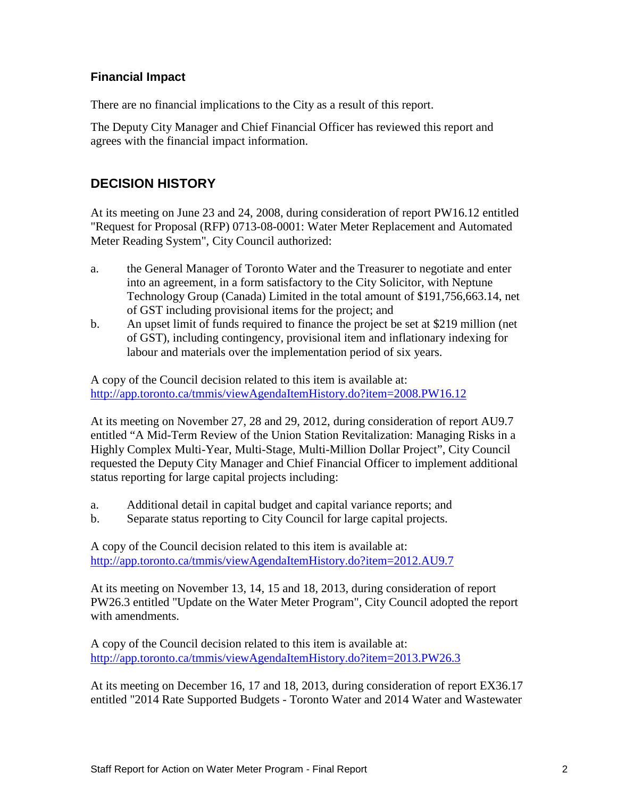### **Financial Impact**

There are no financial implications to the City as a result of this report.

The Deputy City Manager and Chief Financial Officer has reviewed this report and agrees with the financial impact information.

## **DECISION HISTORY**

At its meeting on June 23 and 24, 2008, during consideration of report PW16.12 entitled "Request for Proposal (RFP) 0713-08-0001: Water Meter Replacement and Automated Meter Reading System", City Council authorized:

- a. the General Manager of Toronto Water and the Treasurer to negotiate and enter into an agreement, in a form satisfactory to the City Solicitor, with Neptune Technology Group (Canada) Limited in the total amount of \$191,756,663.14, net of GST including provisional items for the project; and
- b. An upset limit of funds required to finance the project be set at \$219 million (net of GST), including contingency, provisional item and inflationary indexing for labour and materials over the implementation period of six years.

A copy of the Council decision related to this item is available at: <http://app.toronto.ca/tmmis/viewAgendaItemHistory.do?item=2008.PW16.12>

At its meeting on November 27, 28 and 29, 2012, during consideration of report AU9.7 entitled "A Mid-Term Review of the Union Station Revitalization: Managing Risks in a Highly Complex Multi-Year, Multi-Stage, Multi-Million Dollar Project", City Council requested the Deputy City Manager and Chief Financial Officer to implement additional status reporting for large capital projects including:

- a. Additional detail in capital budget and capital variance reports; and
- b. Separate status reporting to City Council for large capital projects.

A copy of the Council decision related to this item is available at: <http://app.toronto.ca/tmmis/viewAgendaItemHistory.do?item=2012.AU9.7>

At its meeting on November 13, 14, 15 and 18, 2013, during consideration of report PW26.3 entitled "Update on the Water Meter Program", City Council adopted the report with amendments.

A copy of the Council decision related to this item is available at: <http://app.toronto.ca/tmmis/viewAgendaItemHistory.do?item=2013.PW26.3>

At its meeting on December 16, 17 and 18, 2013, during consideration of report EX36.17 entitled "2014 Rate Supported Budgets - Toronto Water and 2014 Water and Wastewater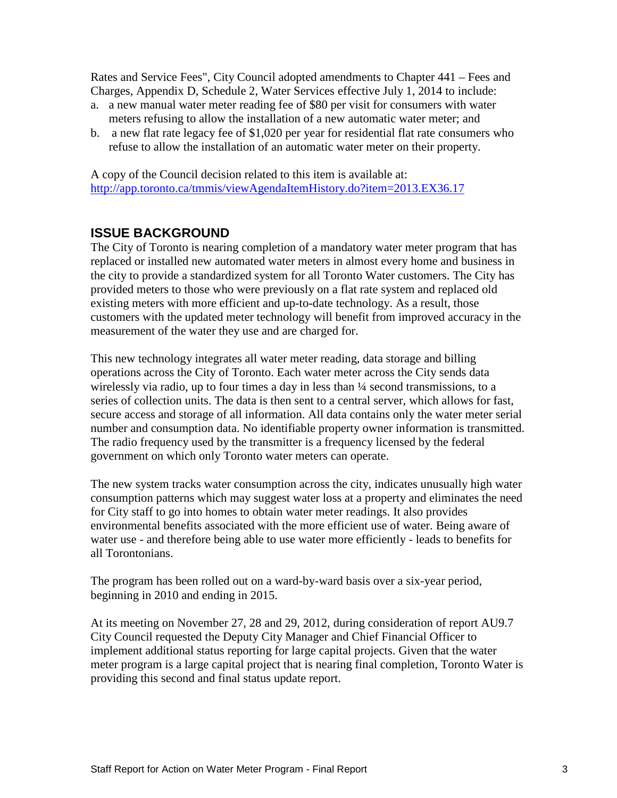Rates and Service Fees", City Council adopted amendments to Chapter 441 – Fees and Charges, Appendix D, Schedule 2, Water Services effective July 1, 2014 to include:

- a. a new manual water meter reading fee of \$80 per visit for consumers with water meters refusing to allow the installation of a new automatic water meter; and
- b. a new flat rate legacy fee of \$1,020 per year for residential flat rate consumers who refuse to allow the installation of an automatic water meter on their property.

A copy of the Council decision related to this item is available at: <http://app.toronto.ca/tmmis/viewAgendaItemHistory.do?item=2013.EX36.17>

# **ISSUE BACKGROUND**

The City of Toronto is nearing completion of a mandatory water meter program that has replaced or installed new automated water meters in almost every home and business in the city to provide a standardized system for all Toronto Water customers. The City has provided meters to those who were previously on a flat rate system and replaced old existing meters with more efficient and up-to-date technology. As a result, those customers with the updated meter technology will benefit from improved accuracy in the measurement of the water they use and are charged for.

This new technology integrates all water meter reading, data storage and billing operations across the City of Toronto. Each water meter across the City sends data wirelessly via radio, up to four times a day in less than  $\frac{1}{4}$  second transmissions, to a series of collection units. The data is then sent to a central server, which allows for fast, secure access and storage of all information. All data contains only the water meter serial number and consumption data. No identifiable property owner information is transmitted. The radio frequency used by the transmitter is a frequency licensed by the federal government on which only Toronto water meters can operate.

The new system tracks water consumption across the city, indicates unusually high water consumption patterns which may suggest water loss at a property and eliminates the need for City staff to go into homes to obtain water meter readings. It also provides environmental benefits associated with the more efficient use of water. Being aware of water use - and therefore being able to use water more efficiently - leads to benefits for all Torontonians.

The program has been rolled out on a ward-by-ward basis over a six-year period, beginning in 2010 and ending in 2015.

At its meeting on November 27, 28 and 29, 2012, during consideration of report AU9.7 City Council requested the Deputy City Manager and Chief Financial Officer to implement additional status reporting for large capital projects. Given that the water meter program is a large capital project that is nearing final completion, Toronto Water is providing this second and final status update report.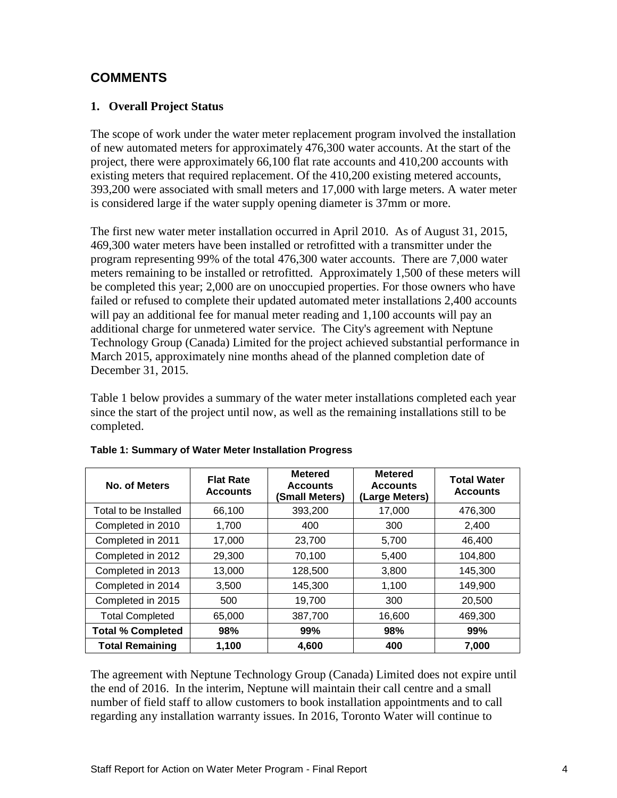## **COMMENTS**

#### **1. Overall Project Status**

The scope of work under the water meter replacement program involved the installation of new automated meters for approximately 476,300 water accounts. At the start of the project, there were approximately 66,100 flat rate accounts and 410,200 accounts with existing meters that required replacement. Of the 410,200 existing metered accounts, 393,200 were associated with small meters and 17,000 with large meters. A water meter is considered large if the water supply opening diameter is 37mm or more.

The first new water meter installation occurred in April 2010. As of August 31, 2015, 469,300 water meters have been installed or retrofitted with a transmitter under the program representing 99% of the total 476,300 water accounts. There are 7,000 water meters remaining to be installed or retrofitted. Approximately 1,500 of these meters will be completed this year; 2,000 are on unoccupied properties. For those owners who have failed or refused to complete their updated automated meter installations 2,400 accounts will pay an additional fee for manual meter reading and 1,100 accounts will pay an additional charge for unmetered water service. The City's agreement with Neptune Technology Group (Canada) Limited for the project achieved substantial performance in March 2015, approximately nine months ahead of the planned completion date of December 31, 2015.

Table 1 below provides a summary of the water meter installations completed each year since the start of the project until now, as well as the remaining installations still to be completed.

| No. of Meters            | <b>Flat Rate</b><br><b>Accounts</b> | <b>Metered</b><br><b>Accounts</b><br>(Small Meters) | <b>Metered</b><br><b>Accounts</b><br>(Large Meters) | <b>Total Water</b><br><b>Accounts</b> |
|--------------------------|-------------------------------------|-----------------------------------------------------|-----------------------------------------------------|---------------------------------------|
| Total to be Installed    | 66,100                              | 393,200                                             | 17.000                                              | 476,300                               |
| Completed in 2010        | 1,700                               | 400                                                 | 300                                                 | 2,400                                 |
| Completed in 2011        | 17,000                              | 23,700                                              | 5.700                                               | 46.400                                |
| Completed in 2012        | 29,300                              | 70,100                                              | 5,400                                               | 104,800                               |
| Completed in 2013        | 13,000                              | 128,500                                             | 3,800                                               | 145,300                               |
| Completed in 2014        | 3,500                               | 145,300                                             | 1,100                                               | 149,900                               |
| Completed in 2015        | 500                                 | 19,700                                              | 300                                                 | 20,500                                |
| <b>Total Completed</b>   | 65,000                              | 387,700                                             | 16,600                                              | 469,300                               |
| <b>Total % Completed</b> | 98%                                 | 99%                                                 | 98%                                                 | 99%                                   |
| <b>Total Remaining</b>   | 1.100                               | 4,600                                               | 400                                                 | 7.000                                 |

The agreement with Neptune Technology Group (Canada) Limited does not expire until the end of 2016. In the interim, Neptune will maintain their call centre and a small number of field staff to allow customers to book installation appointments and to call regarding any installation warranty issues. In 2016, Toronto Water will continue to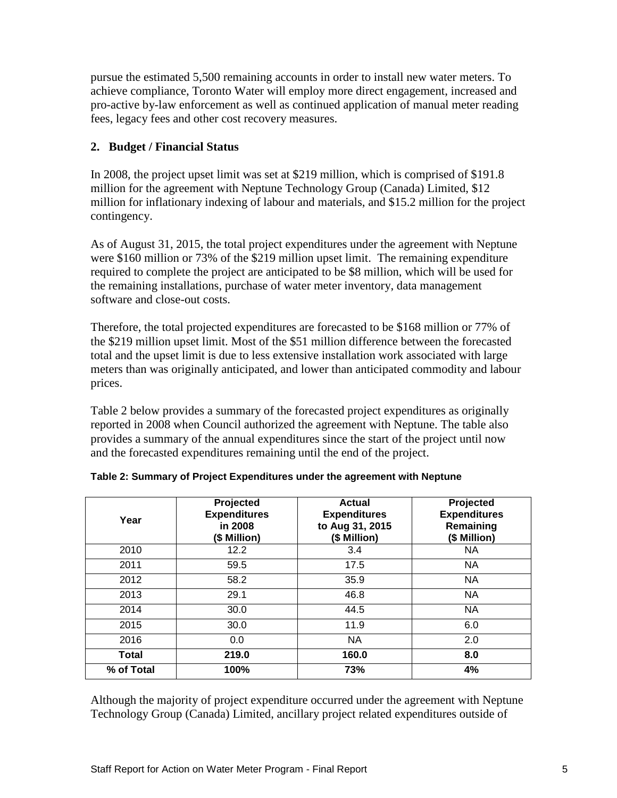pursue the estimated 5,500 remaining accounts in order to install new water meters. To achieve compliance, Toronto Water will employ more direct engagement, increased and pro-active by-law enforcement as well as continued application of manual meter reading fees, legacy fees and other cost recovery measures.

#### **2. Budget / Financial Status**

In 2008, the project upset limit was set at \$219 million, which is comprised of \$191.8 million for the agreement with Neptune Technology Group (Canada) Limited, \$12 million for inflationary indexing of labour and materials, and \$15.2 million for the project contingency.

As of August 31, 2015, the total project expenditures under the agreement with Neptune were \$160 million or 73% of the \$219 million upset limit. The remaining expenditure required to complete the project are anticipated to be \$8 million, which will be used for the remaining installations, purchase of water meter inventory, data management software and close-out costs.

Therefore, the total projected expenditures are forecasted to be \$168 million or 77% of the \$219 million upset limit. Most of the \$51 million difference between the forecasted total and the upset limit is due to less extensive installation work associated with large meters than was originally anticipated, and lower than anticipated commodity and labour prices.

Table 2 below provides a summary of the forecasted project expenditures as originally reported in 2008 when Council authorized the agreement with Neptune. The table also provides a summary of the annual expenditures since the start of the project until now and the forecasted expenditures remaining until the end of the project.

| Year         | Projected<br><b>Expenditures</b><br>in 2008<br>(\$ Million) | Actual<br><b>Expenditures</b><br>to Aug 31, 2015<br>(\$ Million) | Projected<br><b>Expenditures</b><br>Remaining<br>(\$ Million) |
|--------------|-------------------------------------------------------------|------------------------------------------------------------------|---------------------------------------------------------------|
| 2010         | 12.2                                                        | 3.4                                                              | <b>NA</b>                                                     |
| 2011         | 59.5                                                        | 17.5                                                             | <b>NA</b>                                                     |
| 2012         | 58.2                                                        | 35.9                                                             | <b>NA</b>                                                     |
| 2013         | 29.1                                                        | 46.8                                                             | <b>NA</b>                                                     |
| 2014         | 30.0                                                        | 44.5                                                             | <b>NA</b>                                                     |
| 2015         | 30.0                                                        | 11.9                                                             | 6.0                                                           |
| 2016         | 0.0                                                         | <b>NA</b>                                                        | 2.0                                                           |
| <b>Total</b> | 219.0                                                       | 160.0                                                            | 8.0                                                           |
| % of Total   | 100%                                                        | 73%                                                              | 4%                                                            |

Although the majority of project expenditure occurred under the agreement with Neptune Technology Group (Canada) Limited, ancillary project related expenditures outside of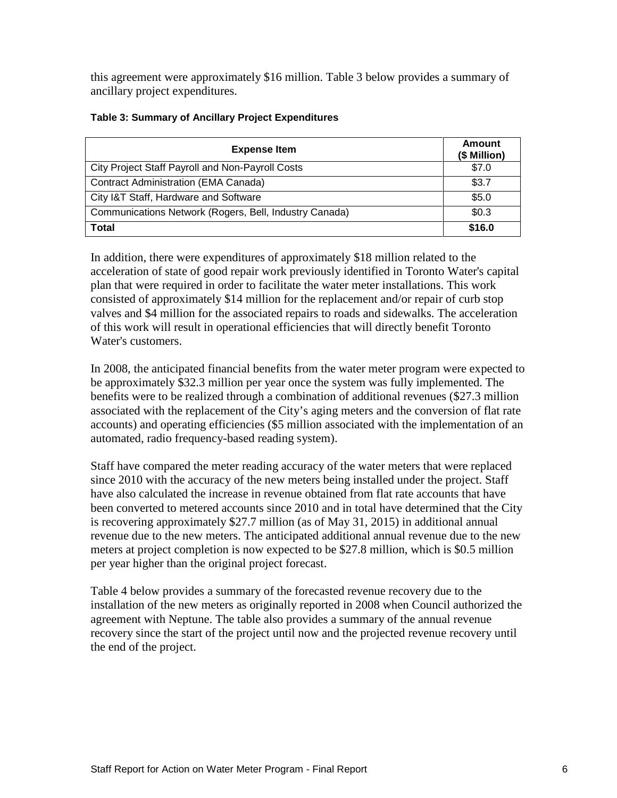this agreement were approximately \$16 million. Table 3 below provides a summary of ancillary project expenditures.

| <b>Expense Item</b>                                    | Amount<br>(\$ Million) |
|--------------------------------------------------------|------------------------|
| City Project Staff Payroll and Non-Payroll Costs       | \$7.0                  |
| <b>Contract Administration (EMA Canada)</b>            | \$3.7                  |
| City I&T Staff, Hardware and Software                  | \$5.0                  |
| Communications Network (Rogers, Bell, Industry Canada) | \$0.3                  |
| <b>Total</b>                                           | \$16.0                 |

#### **Table 3: Summary of Ancillary Project Expenditures**

In addition, there were expenditures of approximately \$18 million related to the acceleration of state of good repair work previously identified in Toronto Water's capital plan that were required in order to facilitate the water meter installations. This work consisted of approximately \$14 million for the replacement and/or repair of curb stop valves and \$4 million for the associated repairs to roads and sidewalks. The acceleration of this work will result in operational efficiencies that will directly benefit Toronto Water's customers.

In 2008, the anticipated financial benefits from the water meter program were expected to be approximately \$32.3 million per year once the system was fully implemented. The benefits were to be realized through a combination of additional revenues (\$27.3 million associated with the replacement of the City's aging meters and the conversion of flat rate accounts) and operating efficiencies (\$5 million associated with the implementation of an automated, radio frequency-based reading system).

Staff have compared the meter reading accuracy of the water meters that were replaced since 2010 with the accuracy of the new meters being installed under the project. Staff have also calculated the increase in revenue obtained from flat rate accounts that have been converted to metered accounts since 2010 and in total have determined that the City is recovering approximately \$27.7 million (as of May 31, 2015) in additional annual revenue due to the new meters. The anticipated additional annual revenue due to the new meters at project completion is now expected to be \$27.8 million, which is \$0.5 million per year higher than the original project forecast.

Table 4 below provides a summary of the forecasted revenue recovery due to the installation of the new meters as originally reported in 2008 when Council authorized the agreement with Neptune. The table also provides a summary of the annual revenue recovery since the start of the project until now and the projected revenue recovery until the end of the project.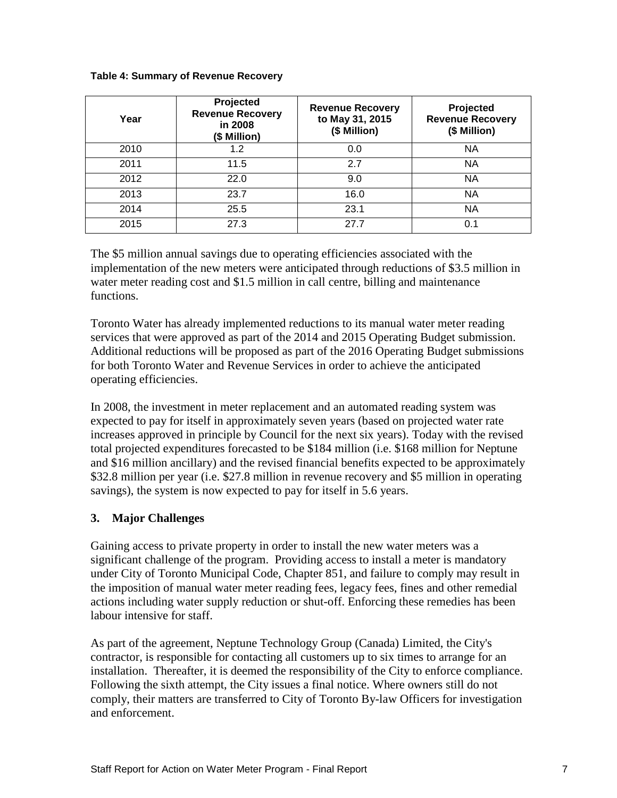#### **Table 4: Summary of Revenue Recovery**

| Year | Projected<br><b>Revenue Recovery</b><br>in 2008<br>(\$ Million) | <b>Revenue Recovery</b><br>to May 31, 2015<br>(\$ Million) | Projected<br><b>Revenue Recovery</b><br>(\$ Million) |
|------|-----------------------------------------------------------------|------------------------------------------------------------|------------------------------------------------------|
| 2010 | 1.2                                                             | 0.0                                                        | <b>NA</b>                                            |
| 2011 | 11.5                                                            | 2.7                                                        | <b>NA</b>                                            |
| 2012 | 22.0                                                            | 9.0                                                        | <b>NA</b>                                            |
| 2013 | 23.7                                                            | 16.0                                                       | <b>NA</b>                                            |
| 2014 | 25.5                                                            | 23.1                                                       | <b>NA</b>                                            |
| 2015 | 27.3                                                            | 27.7                                                       | 0.1                                                  |

The \$5 million annual savings due to operating efficiencies associated with the implementation of the new meters were anticipated through reductions of \$3.5 million in water meter reading cost and \$1.5 million in call centre, billing and maintenance functions.

Toronto Water has already implemented reductions to its manual water meter reading services that were approved as part of the 2014 and 2015 Operating Budget submission. Additional reductions will be proposed as part of the 2016 Operating Budget submissions for both Toronto Water and Revenue Services in order to achieve the anticipated operating efficiencies.

In 2008, the investment in meter replacement and an automated reading system was expected to pay for itself in approximately seven years (based on projected water rate increases approved in principle by Council for the next six years). Today with the revised total projected expenditures forecasted to be \$184 million (i.e. \$168 million for Neptune and \$16 million ancillary) and the revised financial benefits expected to be approximately \$32.8 million per year (i.e. \$27.8 million in revenue recovery and \$5 million in operating savings), the system is now expected to pay for itself in 5.6 years.

#### **3. Major Challenges**

Gaining access to private property in order to install the new water meters was a significant challenge of the program. Providing access to install a meter is mandatory under City of Toronto Municipal Code, Chapter 851, and failure to comply may result in the imposition of manual water meter reading fees, legacy fees, fines and other remedial actions including water supply reduction or shut-off. Enforcing these remedies has been labour intensive for staff.

As part of the agreement, Neptune Technology Group (Canada) Limited, the City's contractor, is responsible for contacting all customers up to six times to arrange for an installation. Thereafter, it is deemed the responsibility of the City to enforce compliance. Following the sixth attempt, the City issues a final notice. Where owners still do not comply, their matters are transferred to City of Toronto By-law Officers for investigation and enforcement.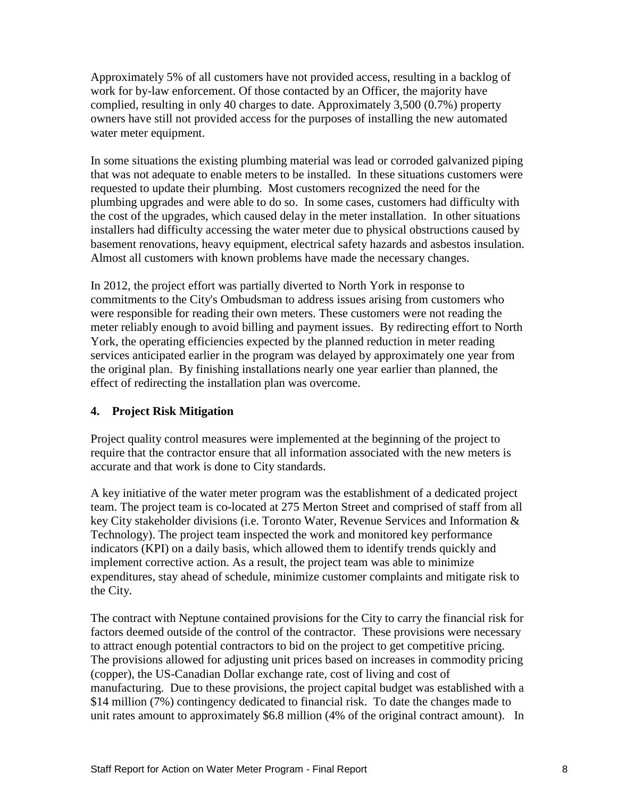Approximately 5% of all customers have not provided access, resulting in a backlog of work for by-law enforcement. Of those contacted by an Officer, the majority have complied, resulting in only 40 charges to date. Approximately 3,500 (0.7%) property owners have still not provided access for the purposes of installing the new automated water meter equipment.

In some situations the existing plumbing material was lead or corroded galvanized piping that was not adequate to enable meters to be installed. In these situations customers were requested to update their plumbing. Most customers recognized the need for the plumbing upgrades and were able to do so. In some cases, customers had difficulty with the cost of the upgrades, which caused delay in the meter installation. In other situations installers had difficulty accessing the water meter due to physical obstructions caused by basement renovations, heavy equipment, electrical safety hazards and asbestos insulation. Almost all customers with known problems have made the necessary changes.

In 2012, the project effort was partially diverted to North York in response to commitments to the City's Ombudsman to address issues arising from customers who were responsible for reading their own meters. These customers were not reading the meter reliably enough to avoid billing and payment issues. By redirecting effort to North York, the operating efficiencies expected by the planned reduction in meter reading services anticipated earlier in the program was delayed by approximately one year from the original plan. By finishing installations nearly one year earlier than planned, the effect of redirecting the installation plan was overcome.

#### **4. Project Risk Mitigation**

Project quality control measures were implemented at the beginning of the project to require that the contractor ensure that all information associated with the new meters is accurate and that work is done to City standards.

A key initiative of the water meter program was the establishment of a dedicated project team. The project team is co-located at 275 Merton Street and comprised of staff from all key City stakeholder divisions (i.e. Toronto Water, Revenue Services and Information & Technology). The project team inspected the work and monitored key performance indicators (KPI) on a daily basis, which allowed them to identify trends quickly and implement corrective action. As a result, the project team was able to minimize expenditures, stay ahead of schedule, minimize customer complaints and mitigate risk to the City.

The contract with Neptune contained provisions for the City to carry the financial risk for factors deemed outside of the control of the contractor. These provisions were necessary to attract enough potential contractors to bid on the project to get competitive pricing. The provisions allowed for adjusting unit prices based on increases in commodity pricing (copper), the US-Canadian Dollar exchange rate, cost of living and cost of manufacturing. Due to these provisions, the project capital budget was established with a \$14 million (7%) contingency dedicated to financial risk. To date the changes made to unit rates amount to approximately \$6.8 million (4% of the original contract amount). In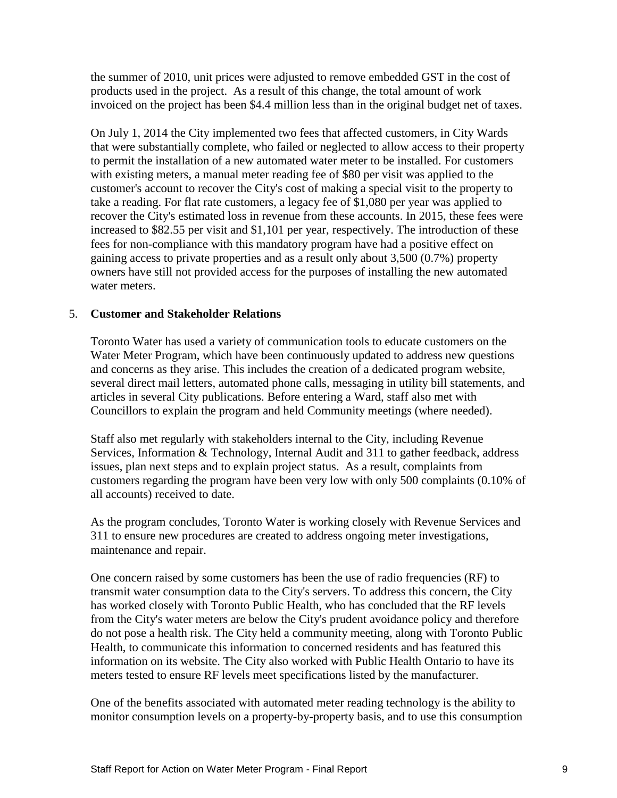the summer of 2010, unit prices were adjusted to remove embedded GST in the cost of products used in the project. As a result of this change, the total amount of work invoiced on the project has been \$4.4 million less than in the original budget net of taxes.

On July 1, 2014 the City implemented two fees that affected customers, in City Wards that were substantially complete, who failed or neglected to allow access to their property to permit the installation of a new automated water meter to be installed. For customers with existing meters, a manual meter reading fee of \$80 per visit was applied to the customer's account to recover the City's cost of making a special visit to the property to take a reading. For flat rate customers, a legacy fee of \$1,080 per year was applied to recover the City's estimated loss in revenue from these accounts. In 2015, these fees were increased to \$82.55 per visit and \$1,101 per year, respectively. The introduction of these fees for non-compliance with this mandatory program have had a positive effect on gaining access to private properties and as a result only about 3,500 (0.7%) property owners have still not provided access for the purposes of installing the new automated water meters.

#### 5. **Customer and Stakeholder Relations**

Toronto Water has used a variety of communication tools to educate customers on the Water Meter Program, which have been continuously updated to address new questions and concerns as they arise. This includes the creation of a dedicated program website, several direct mail letters, automated phone calls, messaging in utility bill statements, and articles in several City publications. Before entering a Ward, staff also met with Councillors to explain the program and held Community meetings (where needed).

Staff also met regularly with stakeholders internal to the City, including Revenue Services, Information & Technology, Internal Audit and 311 to gather feedback, address issues, plan next steps and to explain project status. As a result, complaints from customers regarding the program have been very low with only 500 complaints (0.10% of all accounts) received to date.

As the program concludes, Toronto Water is working closely with Revenue Services and 311 to ensure new procedures are created to address ongoing meter investigations, maintenance and repair.

One concern raised by some customers has been the use of radio frequencies (RF) to transmit water consumption data to the City's servers. To address this concern, the City has worked closely with Toronto Public Health, who has concluded that the RF levels from the City's water meters are below the City's prudent avoidance policy and therefore do not pose a health risk. The City held a community meeting, along with Toronto Public Health, to communicate this information to concerned residents and has featured this information on its website. The City also worked with Public Health Ontario to have its meters tested to ensure RF levels meet specifications listed by the manufacturer.

One of the benefits associated with automated meter reading technology is the ability to monitor consumption levels on a property-by-property basis, and to use this consumption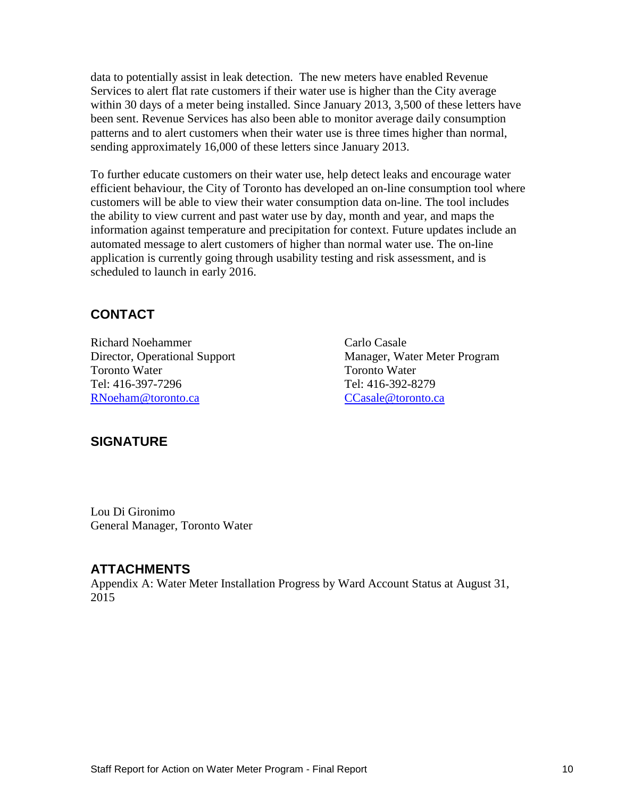data to potentially assist in leak detection. The new meters have enabled Revenue Services to alert flat rate customers if their water use is higher than the City average within 30 days of a meter being installed. Since January 2013, 3,500 of these letters have been sent. Revenue Services has also been able to monitor average daily consumption patterns and to alert customers when their water use is three times higher than normal, sending approximately 16,000 of these letters since January 2013.

To further educate customers on their water use, help detect leaks and encourage water efficient behaviour, the City of Toronto has developed an on-line consumption tool where customers will be able to view their water consumption data on-line. The tool includes the ability to view current and past water use by day, month and year, and maps the information against temperature and precipitation for context. Future updates include an automated message to alert customers of higher than normal water use. The on-line application is currently going through usability testing and risk assessment, and is scheduled to launch in early 2016.

# **CONTACT**

Richard Noehammer Carlo Casale Toronto Water Toronto Water Tel: 416-397-7296 Tel: 416-392-8279 [RNoeham@toronto.ca](mailto:RNoeham@toronto.ca) CCasale@toronto.ca

Director, Operational Support Manager, Water Meter Program

#### **SIGNATURE**

Lou Di Gironimo General Manager, Toronto Water

#### **ATTACHMENTS**

Appendix A: Water Meter Installation Progress by Ward Account Status at August 31, 2015